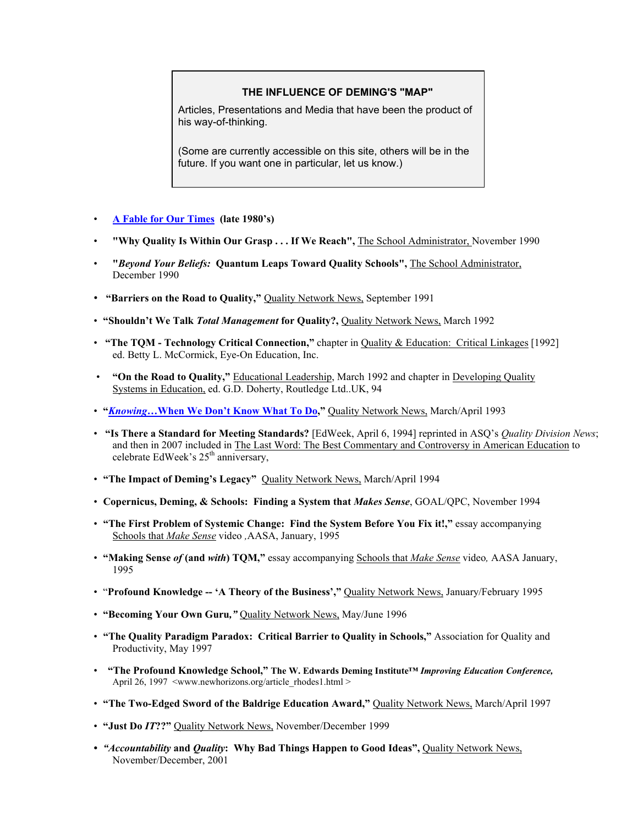## **THE INFLUENCE OF DEMING'S "MAP"**

Articles, Presentations and Media that have been the product of his way-of-thinking.

(Some are currently accessible on this site, others will be in the future. If you want one in particular, let us know.)

- **[A Fable for Our Times](http://www.sabusense.com/wp-content/uploads/2009/02/fableforourtime.pdf) (late 1980's)**
- **"Why Quality Is Within Our Grasp . . . If We Reach",** The School Administrator, November 1990
- **"***Beyond Your Beliefs:* **Quantum Leaps Toward Quality Schools",** The School Administrator, December 1990
- **"Barriers on the Road to Quality,"** Quality Network News, September 1991
- "Shouldn't We Talk *Total Management* for Quality?, Quality Network News, March 1992
- **"The TQM Technology Critical Connection,"** chapter in Quality & Education: Critical Linkages [1992] ed. Betty L. McCormick, Eye-On Education, Inc.
- **"On the Road to Quality,"** Educational Leadership, March 1992 and chapter in Developing Quality Systems in Education, ed. G.D. Doherty, Routledge Ltd..UK, 94
- **"***Knowing***[…When We Don't Know What To Do,](http://www.sabusense.com/wp-content/uploads/2009/02/knowing-article.pdf)"** Quality Network News, March/April 1993
- **"Is There a Standard for Meeting Standards?** [EdWeek, April 6, 1994] reprinted in ASQ's *Quality Division News*; and then in 2007 included in The Last Word: The Best Commentary and Controversy in American Education to celebrate EdWeek's  $25<sup>th</sup>$  anniversary,
- **"The Impact of Deming's Legacy"** Quality Network News, March/April 1994
- **Copernicus, Deming, & Schools: Finding a System that** *Makes Sense*, GOAL/QPC, November 1994
- **"The First Problem of Systemic Change: Find the System Before You Fix it!,"** essay accompanying Schools that *Make Sense* video *,*AASA, January, 1995
- **"Making Sense** *of* **(and** *with***) TQM,"** essay accompanying Schools that *Make Sense* video*,* AASA January, 1995
- "**Profound Knowledge -- 'A Theory of the Business',"** Quality Network News, January/February 1995
- **"Becoming Your Own Guru***,"* Quality Network News, May/June 1996
- **"The Quality Paradigm Paradox: Critical Barrier to Quality in Schools,"** Association for Quality and Productivity, May 1997
- **"The Profound Knowledge School," The W. Edwards Deming Institute™** *Improving Education Conference,*  April 26, 1997 <www.newhorizons.org/article\_rhodes1.html >
- **"The Two-Edged Sword of the Baldrige Education Award,"** Quality Network News, March/April 1997
- **"Just Do** *IT***??"** Quality Network News, November/December 1999
- *"Accountability* **and** *Quality***: Why Bad Things Happen to Good Ideas",** Quality Network News, November/December, 2001